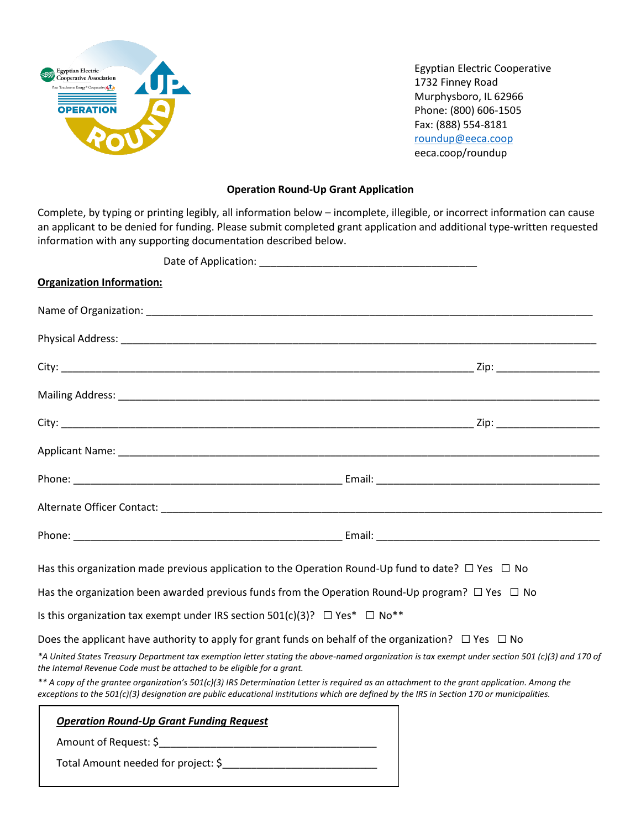

Egyptian Electric Cooperative 1732 Finney Road Murphysboro, IL 62966 Phone: (800) 606-1505 Fax: (888) 554-8181 [roundup@eeca.coop](mailto:bguthman@eeca.coop) eeca.coop/roundup

## **Operation Round-Up Grant Application**

Complete, by typing or printing legibly, all information below – incomplete, illegible, or incorrect information can cause an applicant to be denied for funding. Please submit completed grant application and additional type-written requested information with any supporting documentation described below.

| <b>Organization Information:</b>                                                                                                                                                                                                                                                          |  |
|-------------------------------------------------------------------------------------------------------------------------------------------------------------------------------------------------------------------------------------------------------------------------------------------|--|
|                                                                                                                                                                                                                                                                                           |  |
|                                                                                                                                                                                                                                                                                           |  |
|                                                                                                                                                                                                                                                                                           |  |
|                                                                                                                                                                                                                                                                                           |  |
|                                                                                                                                                                                                                                                                                           |  |
|                                                                                                                                                                                                                                                                                           |  |
|                                                                                                                                                                                                                                                                                           |  |
|                                                                                                                                                                                                                                                                                           |  |
|                                                                                                                                                                                                                                                                                           |  |
| Has this organization made previous application to the Operation Round-Up fund to date? $\Box$ Yes $\Box$ No                                                                                                                                                                              |  |
| Has the organization been awarded previous funds from the Operation Round-Up program? $\Box$ Yes $\Box$ No                                                                                                                                                                                |  |
| Is this organization tax exempt under IRS section 501(c)(3)? $\Box$ Yes* $\Box$ No**                                                                                                                                                                                                      |  |
| Does the applicant have authority to apply for grant funds on behalf of the organization? $\Box$ Yes $\Box$ No                                                                                                                                                                            |  |
| *A United States Treasury Department tax exemption letter stating the above-named organization is tax exempt under section 501 (c)(3) and 170 of<br>the Internal Revenue Code must be attached to be eligible for a grant.                                                                |  |
| ** A copy of the grantee organization's 501(c)(3) IRS Determination Letter is required as an attachment to the grant application. Among the<br>exceptions to the 501(c)(3) designation are public educational institutions which are defined by the IRS in Section 170 or municipalities. |  |
| <b>Operation Round-Up Grant Funding Request</b><br>Amount of Request: \$                                                                                                                                                                                                                  |  |

Total Amount needed for project: \$